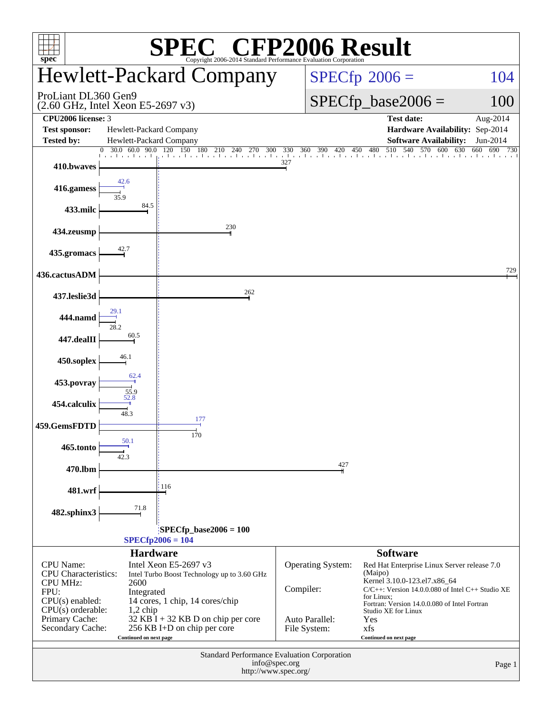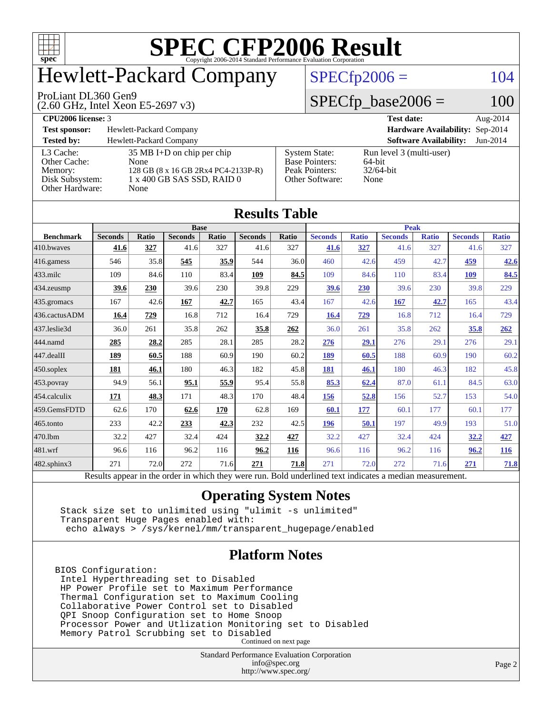

# Hewlett-Packard Company

#### ProLiant DL360 Gen9

(2.60 GHz, Intel Xeon E5-2697 v3)

 $SPECfp2006 = 104$  $SPECfp2006 = 104$ 

### $SPECfp\_base2006 = 100$

**[CPU2006 license:](http://www.spec.org/auto/cpu2006/Docs/result-fields.html#CPU2006license)** 3 **[Test date:](http://www.spec.org/auto/cpu2006/Docs/result-fields.html#Testdate)** Aug-2014 **[Test sponsor:](http://www.spec.org/auto/cpu2006/Docs/result-fields.html#Testsponsor)** Hewlett-Packard Company **[Hardware Availability:](http://www.spec.org/auto/cpu2006/Docs/result-fields.html#HardwareAvailability)** Sep-2014 **[Tested by:](http://www.spec.org/auto/cpu2006/Docs/result-fields.html#Testedby)** Hewlett-Packard Company **[Software Availability:](http://www.spec.org/auto/cpu2006/Docs/result-fields.html#SoftwareAvailability)** Jun-2014 [L3 Cache:](http://www.spec.org/auto/cpu2006/Docs/result-fields.html#L3Cache) 35 MB I+D on chip per chip<br>Other Cache: None [Other Cache:](http://www.spec.org/auto/cpu2006/Docs/result-fields.html#OtherCache) [Memory:](http://www.spec.org/auto/cpu2006/Docs/result-fields.html#Memory) 128 GB (8 x 16 GB 2Rx4 PC4-2133P-R) [Disk Subsystem:](http://www.spec.org/auto/cpu2006/Docs/result-fields.html#DiskSubsystem) 1 x 400 GB SAS SSD, RAID 0 [Other Hardware:](http://www.spec.org/auto/cpu2006/Docs/result-fields.html#OtherHardware) None [System State:](http://www.spec.org/auto/cpu2006/Docs/result-fields.html#SystemState) Run level 3 (multi-user)<br>Base Pointers: 64-bit [Base Pointers:](http://www.spec.org/auto/cpu2006/Docs/result-fields.html#BasePointers) 64-bit<br>Peak Pointers: 32/64-bit [Peak Pointers:](http://www.spec.org/auto/cpu2006/Docs/result-fields.html#PeakPointers) [Other Software:](http://www.spec.org/auto/cpu2006/Docs/result-fields.html#OtherSoftware) None

| <b>Results Table</b>   |                                                                                                          |            |                |        |                |                                |                |              |                |              |                |              |
|------------------------|----------------------------------------------------------------------------------------------------------|------------|----------------|--------|----------------|--------------------------------|----------------|--------------|----------------|--------------|----------------|--------------|
|                        | <b>Base</b>                                                                                              |            |                |        |                |                                | <b>Peak</b>    |              |                |              |                |              |
| <b>Benchmark</b>       | <b>Seconds</b>                                                                                           | Ratio      | <b>Seconds</b> | Ratio  | <b>Seconds</b> | Ratio                          | <b>Seconds</b> | <b>Ratio</b> | <b>Seconds</b> | <b>Ratio</b> | <b>Seconds</b> | <b>Ratio</b> |
| $410$ .bwayes          | 41.6                                                                                                     | 327        | 41.6           | 327    | 41.6           | 327                            | 41.6           | 327          | 41.6           | 327          | 41.6           | 327          |
| $416$ .gamess          | 546                                                                                                      | 35.8       | 545            | 35.9   | 544            | 36.0                           | 460            | 42.6         | 459            | 42.7         | 459            | 42.6         |
| $433$ .milc            | 109                                                                                                      | 84.6       | 110            | 83.4   | 109            | 84.5                           | 109            | 84.6         | 110            | 83.4         | 109            | 84.5         |
| $ 434$ . zeusmp        | 39.6                                                                                                     | <b>230</b> | 39.6           | 230    | 39.8           | 229                            | 39.6           | 230          | 39.6           | 230          | 39.8           | 229          |
| $435.$ gromacs         | 167                                                                                                      | 42.6       | 167            | 42.7   | 165            | 43.4                           | 167            | 42.6         | 167            | 42.7         | 165            | 43.4         |
| 436.cactusADM          | 16.4                                                                                                     | 729        | 16.8           | 712    | 16.4           | 729                            | 16.4           | 729          | 16.8           | 712          | 16.4           | 729          |
| 437.leslie3d           | 36.0                                                                                                     | 261        | 35.8           | 262    | 35.8           | 262                            | 36.0           | 261          | 35.8           | 262          | 35.8           | 262          |
| 444.namd               | 285                                                                                                      | 28.2       | 285            | 28.1   | 285            | 28.2                           | 276            | 29.1         | 276            | 29.1         | 276            | 29.1         |
| $ 447 \text{.}$ dealII | 189                                                                                                      | 60.5       | 188            | 60.9   | 190            | 60.2                           | 189            | 60.5         | 188            | 60.9         | 190            | 60.2         |
| $450$ .soplex          | 181                                                                                                      | 46.1       | 180            | 46.3   | 182            | 45.8                           | 181            | 46.1         | 180            | 46.3         | 182            | 45.8         |
| $ 453$ . povray        | 94.9                                                                                                     | 56.1       | 95.1           | 55.9   | 95.4           | 55.8                           | 85.3           | 62.4         | 87.0           | 61.1         | 84.5           | 63.0         |
| $ 454$ .calculix       | 171                                                                                                      | 48.3       | 171            | 48.3   | 170            | 48.4                           | 156            | 52.8         | 156            | 52.7         | 153            | 54.0         |
| 459.GemsFDTD           | 62.6                                                                                                     | 170        | 62.6           | 170    | 62.8           | 169                            | 60.1           | 177          | 60.1           | 177          | 60.1           | 177          |
| $465$ .tonto           | 233                                                                                                      | 42.2       | 233            | 42.3   | 232            | 42.5                           | 196            | 50.1         | 197            | 49.9         | 193            | 51.0         |
| 470.1bm                | 32.2                                                                                                     | 427        | 32.4           | 424    | 32.2           | 427                            | 32.2           | 427          | 32.4           | 424          | 32.2           | 427          |
| 481.wrf                | 96.6                                                                                                     | 116        | 96.2           | 116    | 96.2           | 116                            | 96.6           | 116          | 96.2           | 116          | 96.2           | <u>116</u>   |
| 482.sphinx3            | 271                                                                                                      | 72.0       | 272            | 71.6   | 271            | 71.8                           | 271            | 72.0         | 272            | 71.6         | 271            | 71.8         |
|                        | Results appear in the order in which they were run. Bold underlined text indicates a median measurement. |            |                |        |                |                                |                |              |                |              |                |              |
|                        |                                                                                                          |            |                | $\sim$ |                | $\sim$<br>$\sim$ $\sim$ $\sim$ |                |              |                |              |                |              |

### **[Operating System Notes](http://www.spec.org/auto/cpu2006/Docs/result-fields.html#OperatingSystemNotes)**

 Stack size set to unlimited using "ulimit -s unlimited" Transparent Huge Pages enabled with: echo always > /sys/kernel/mm/transparent\_hugepage/enabled

### **[Platform Notes](http://www.spec.org/auto/cpu2006/Docs/result-fields.html#PlatformNotes)**

BIOS Configuration: Intel Hyperthreading set to Disabled HP Power Profile set to Maximum Performance Thermal Configuration set to Maximum Cooling Collaborative Power Control set to Disabled QPI Snoop Configuration set to Home Snoop Processor Power and Utlization Monitoring set to Disabled Memory Patrol Scrubbing set to Disabled Continued on next page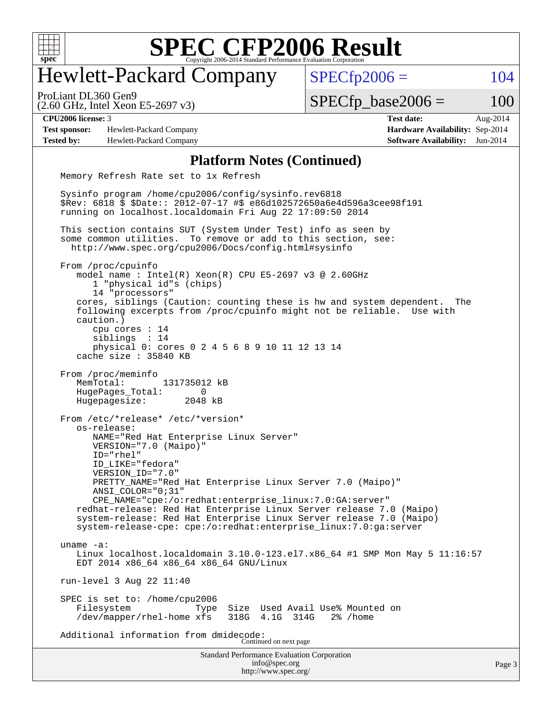

# Hewlett-Packard Company

ProLiant DL360 Gen9

 $SPECTp2006 = 104$ 

(2.60 GHz, Intel Xeon E5-2697 v3)

 $SPECTp\_base2006 = 100$ 

**[Test sponsor:](http://www.spec.org/auto/cpu2006/Docs/result-fields.html#Testsponsor)** Hewlett-Packard Company **[Hardware Availability:](http://www.spec.org/auto/cpu2006/Docs/result-fields.html#HardwareAvailability)** Sep-2014 **[Tested by:](http://www.spec.org/auto/cpu2006/Docs/result-fields.html#Testedby)** Hewlett-Packard Company **[Software Availability:](http://www.spec.org/auto/cpu2006/Docs/result-fields.html#SoftwareAvailability)** Jun-2014

**[CPU2006 license:](http://www.spec.org/auto/cpu2006/Docs/result-fields.html#CPU2006license)** 3 **[Test date:](http://www.spec.org/auto/cpu2006/Docs/result-fields.html#Testdate)** Aug-2014

#### **[Platform Notes \(Continued\)](http://www.spec.org/auto/cpu2006/Docs/result-fields.html#PlatformNotes)**

 Memory Refresh Rate set to 1x Refresh Sysinfo program /home/cpu2006/config/sysinfo.rev6818 \$Rev: 6818 \$ \$Date:: 2012-07-17 #\$ e86d102572650a6e4d596a3cee98f191 running on localhost.localdomain Fri Aug 22 17:09:50 2014 This section contains SUT (System Under Test) info as seen by some common utilities. To remove or add to this section, see: <http://www.spec.org/cpu2006/Docs/config.html#sysinfo> From /proc/cpuinfo model name : Intel(R) Xeon(R) CPU E5-2697 v3 @ 2.60GHz 1 "physical id"s (chips) 14 "processors" cores, siblings (Caution: counting these is hw and system dependent. The following excerpts from /proc/cpuinfo might not be reliable. Use with caution.) cpu cores : 14 siblings : 14 physical 0: cores 0 2 4 5 6 8 9 10 11 12 13 14 cache size : 35840 KB From /proc/meminfo MemTotal: 131735012 kB HugePages\_Total: 0<br>Hugepagesize: 2048 kB Hugepagesize: From /etc/\*release\* /etc/\*version\* os-release: NAME="Red Hat Enterprise Linux Server" VERSION="7.0 (Maipo)" ID="rhel" ID\_LIKE="fedora" VERSION\_ID="7.0" PRETTY NAME="Red Hat Enterprise Linux Server 7.0 (Maipo)" ANSI\_COLOR="0;31" CPE\_NAME="cpe:/o:redhat:enterprise\_linux:7.0:GA:server" redhat-release: Red Hat Enterprise Linux Server release 7.0 (Maipo) system-release: Red Hat Enterprise Linux Server release 7.0 (Maipo) system-release-cpe: cpe:/o:redhat:enterprise\_linux:7.0:ga:server uname -a: Linux localhost.localdomain 3.10.0-123.el7.x86\_64 #1 SMP Mon May 5 11:16:57 EDT 2014 x86\_64 x86\_64 x86\_64 GNU/Linux run-level 3 Aug 22 11:40 SPEC is set to: /home/cpu2006 Filesystem Type Size Used Avail Use% Mounted on<br>
/dev/mapper/rhel-home xfs 318G 4.1G 314G 2% /home /dev/mapper/rhel-home xfs Additional information from dmidecode: Continued on next page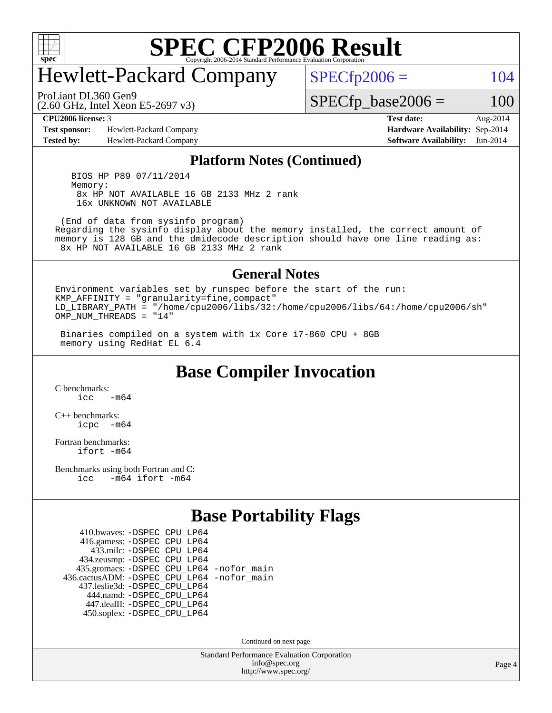

# Hewlett-Packard Company

 $SPECTp2006 = 104$ 

ProLiant DL360 Gen9

(2.60 GHz, Intel Xeon E5-2697 v3)

**[Test sponsor:](http://www.spec.org/auto/cpu2006/Docs/result-fields.html#Testsponsor)** Hewlett-Packard Company **[Hardware Availability:](http://www.spec.org/auto/cpu2006/Docs/result-fields.html#HardwareAvailability)** Sep-2014 **[Tested by:](http://www.spec.org/auto/cpu2006/Docs/result-fields.html#Testedby)** Hewlett-Packard Company **[Software Availability:](http://www.spec.org/auto/cpu2006/Docs/result-fields.html#SoftwareAvailability)** Jun-2014

**[CPU2006 license:](http://www.spec.org/auto/cpu2006/Docs/result-fields.html#CPU2006license)** 3 **[Test date:](http://www.spec.org/auto/cpu2006/Docs/result-fields.html#Testdate)** Aug-2014

 $SPECTp\_base2006 = 100$ 

#### **[Platform Notes \(Continued\)](http://www.spec.org/auto/cpu2006/Docs/result-fields.html#PlatformNotes)**

 BIOS HP P89 07/11/2014 Memory: 8x HP NOT AVAILABLE 16 GB 2133 MHz 2 rank 16x UNKNOWN NOT AVAILABLE

 (End of data from sysinfo program) Regarding the sysinfo display about the memory installed, the correct amount of memory is 128 GB and the dmidecode description should have one line reading as: 8x HP NOT AVAILABLE 16 GB 2133 MHz 2 rank

#### **[General Notes](http://www.spec.org/auto/cpu2006/Docs/result-fields.html#GeneralNotes)**

Environment variables set by runspec before the start of the run: KMP\_AFFINITY = "granularity=fine,compact" LD\_LIBRARY\_PATH = "/home/cpu2006/libs/32:/home/cpu2006/libs/64:/home/cpu2006/sh" OMP NUM THREADS =  $"14"$ 

 Binaries compiled on a system with 1x Core i7-860 CPU + 8GB memory using RedHat EL 6.4

**[Base Compiler Invocation](http://www.spec.org/auto/cpu2006/Docs/result-fields.html#BaseCompilerInvocation)**

[C benchmarks](http://www.spec.org/auto/cpu2006/Docs/result-fields.html#Cbenchmarks):  $icc$   $-m64$ 

[C++ benchmarks:](http://www.spec.org/auto/cpu2006/Docs/result-fields.html#CXXbenchmarks) [icpc -m64](http://www.spec.org/cpu2006/results/res2014q3/cpu2006-20140908-31263.flags.html#user_CXXbase_intel_icpc_64bit_bedb90c1146cab66620883ef4f41a67e)

[Fortran benchmarks](http://www.spec.org/auto/cpu2006/Docs/result-fields.html#Fortranbenchmarks): [ifort -m64](http://www.spec.org/cpu2006/results/res2014q3/cpu2006-20140908-31263.flags.html#user_FCbase_intel_ifort_64bit_ee9d0fb25645d0210d97eb0527dcc06e)

[Benchmarks using both Fortran and C](http://www.spec.org/auto/cpu2006/Docs/result-fields.html#BenchmarksusingbothFortranandC): [icc -m64](http://www.spec.org/cpu2006/results/res2014q3/cpu2006-20140908-31263.flags.html#user_CC_FCbase_intel_icc_64bit_0b7121f5ab7cfabee23d88897260401c) [ifort -m64](http://www.spec.org/cpu2006/results/res2014q3/cpu2006-20140908-31263.flags.html#user_CC_FCbase_intel_ifort_64bit_ee9d0fb25645d0210d97eb0527dcc06e)

### **[Base Portability Flags](http://www.spec.org/auto/cpu2006/Docs/result-fields.html#BasePortabilityFlags)**

 410.bwaves: [-DSPEC\\_CPU\\_LP64](http://www.spec.org/cpu2006/results/res2014q3/cpu2006-20140908-31263.flags.html#suite_basePORTABILITY410_bwaves_DSPEC_CPU_LP64) 416.gamess: [-DSPEC\\_CPU\\_LP64](http://www.spec.org/cpu2006/results/res2014q3/cpu2006-20140908-31263.flags.html#suite_basePORTABILITY416_gamess_DSPEC_CPU_LP64) 433.milc: [-DSPEC\\_CPU\\_LP64](http://www.spec.org/cpu2006/results/res2014q3/cpu2006-20140908-31263.flags.html#suite_basePORTABILITY433_milc_DSPEC_CPU_LP64) 434.zeusmp: [-DSPEC\\_CPU\\_LP64](http://www.spec.org/cpu2006/results/res2014q3/cpu2006-20140908-31263.flags.html#suite_basePORTABILITY434_zeusmp_DSPEC_CPU_LP64) 435.gromacs: [-DSPEC\\_CPU\\_LP64](http://www.spec.org/cpu2006/results/res2014q3/cpu2006-20140908-31263.flags.html#suite_basePORTABILITY435_gromacs_DSPEC_CPU_LP64) [-nofor\\_main](http://www.spec.org/cpu2006/results/res2014q3/cpu2006-20140908-31263.flags.html#user_baseLDPORTABILITY435_gromacs_f-nofor_main) 436.cactusADM: [-DSPEC\\_CPU\\_LP64](http://www.spec.org/cpu2006/results/res2014q3/cpu2006-20140908-31263.flags.html#suite_basePORTABILITY436_cactusADM_DSPEC_CPU_LP64) [-nofor\\_main](http://www.spec.org/cpu2006/results/res2014q3/cpu2006-20140908-31263.flags.html#user_baseLDPORTABILITY436_cactusADM_f-nofor_main) 437.leslie3d: [-DSPEC\\_CPU\\_LP64](http://www.spec.org/cpu2006/results/res2014q3/cpu2006-20140908-31263.flags.html#suite_basePORTABILITY437_leslie3d_DSPEC_CPU_LP64) 444.namd: [-DSPEC\\_CPU\\_LP64](http://www.spec.org/cpu2006/results/res2014q3/cpu2006-20140908-31263.flags.html#suite_basePORTABILITY444_namd_DSPEC_CPU_LP64) 447.dealII: [-DSPEC\\_CPU\\_LP64](http://www.spec.org/cpu2006/results/res2014q3/cpu2006-20140908-31263.flags.html#suite_basePORTABILITY447_dealII_DSPEC_CPU_LP64) 450.soplex: [-DSPEC\\_CPU\\_LP64](http://www.spec.org/cpu2006/results/res2014q3/cpu2006-20140908-31263.flags.html#suite_basePORTABILITY450_soplex_DSPEC_CPU_LP64)

Continued on next page

Standard Performance Evaluation Corporation [info@spec.org](mailto:info@spec.org) <http://www.spec.org/>

Page 4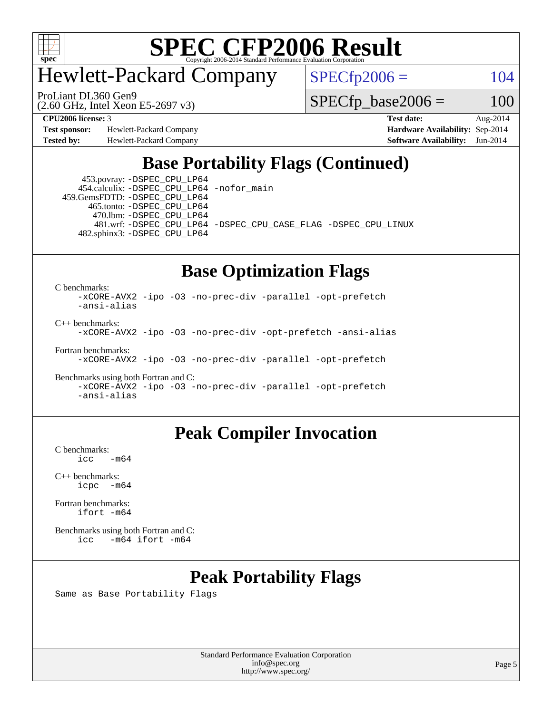

# Hewlett-Packard Company

ProLiant DL360 Gen9

 $SPECfp2006 = 104$  $SPECfp2006 = 104$ 

(2.60 GHz, Intel Xeon E5-2697 v3)

 $SPECfp\_base2006 = 100$ 

**[Test sponsor:](http://www.spec.org/auto/cpu2006/Docs/result-fields.html#Testsponsor)** Hewlett-Packard Company **[Hardware Availability:](http://www.spec.org/auto/cpu2006/Docs/result-fields.html#HardwareAvailability)** Sep-2014

**[CPU2006 license:](http://www.spec.org/auto/cpu2006/Docs/result-fields.html#CPU2006license)** 3 **[Test date:](http://www.spec.org/auto/cpu2006/Docs/result-fields.html#Testdate)** Aug-2014 **[Tested by:](http://www.spec.org/auto/cpu2006/Docs/result-fields.html#Testedby)** Hewlett-Packard Company **[Software Availability:](http://www.spec.org/auto/cpu2006/Docs/result-fields.html#SoftwareAvailability)** Jun-2014

# **[Base Portability Flags \(Continued\)](http://www.spec.org/auto/cpu2006/Docs/result-fields.html#BasePortabilityFlags)**

 453.povray: [-DSPEC\\_CPU\\_LP64](http://www.spec.org/cpu2006/results/res2014q3/cpu2006-20140908-31263.flags.html#suite_basePORTABILITY453_povray_DSPEC_CPU_LP64) 454.calculix: [-DSPEC\\_CPU\\_LP64](http://www.spec.org/cpu2006/results/res2014q3/cpu2006-20140908-31263.flags.html#suite_basePORTABILITY454_calculix_DSPEC_CPU_LP64) [-nofor\\_main](http://www.spec.org/cpu2006/results/res2014q3/cpu2006-20140908-31263.flags.html#user_baseLDPORTABILITY454_calculix_f-nofor_main) 459.GemsFDTD: [-DSPEC\\_CPU\\_LP64](http://www.spec.org/cpu2006/results/res2014q3/cpu2006-20140908-31263.flags.html#suite_basePORTABILITY459_GemsFDTD_DSPEC_CPU_LP64)

 465.tonto: [-DSPEC\\_CPU\\_LP64](http://www.spec.org/cpu2006/results/res2014q3/cpu2006-20140908-31263.flags.html#suite_basePORTABILITY465_tonto_DSPEC_CPU_LP64) 470.lbm: [-DSPEC\\_CPU\\_LP64](http://www.spec.org/cpu2006/results/res2014q3/cpu2006-20140908-31263.flags.html#suite_basePORTABILITY470_lbm_DSPEC_CPU_LP64) 482.sphinx3: [-DSPEC\\_CPU\\_LP64](http://www.spec.org/cpu2006/results/res2014q3/cpu2006-20140908-31263.flags.html#suite_basePORTABILITY482_sphinx3_DSPEC_CPU_LP64)

481.wrf: [-DSPEC\\_CPU\\_LP64](http://www.spec.org/cpu2006/results/res2014q3/cpu2006-20140908-31263.flags.html#suite_basePORTABILITY481_wrf_DSPEC_CPU_LP64) [-DSPEC\\_CPU\\_CASE\\_FLAG](http://www.spec.org/cpu2006/results/res2014q3/cpu2006-20140908-31263.flags.html#b481.wrf_baseCPORTABILITY_DSPEC_CPU_CASE_FLAG) [-DSPEC\\_CPU\\_LINUX](http://www.spec.org/cpu2006/results/res2014q3/cpu2006-20140908-31263.flags.html#b481.wrf_baseCPORTABILITY_DSPEC_CPU_LINUX)

### **[Base Optimization Flags](http://www.spec.org/auto/cpu2006/Docs/result-fields.html#BaseOptimizationFlags)**

[C benchmarks](http://www.spec.org/auto/cpu2006/Docs/result-fields.html#Cbenchmarks):

[-xCORE-AVX2](http://www.spec.org/cpu2006/results/res2014q3/cpu2006-20140908-31263.flags.html#user_CCbase_f-xAVX2_5f5fc0cbe2c9f62c816d3e45806c70d7) [-ipo](http://www.spec.org/cpu2006/results/res2014q3/cpu2006-20140908-31263.flags.html#user_CCbase_f-ipo) [-O3](http://www.spec.org/cpu2006/results/res2014q3/cpu2006-20140908-31263.flags.html#user_CCbase_f-O3) [-no-prec-div](http://www.spec.org/cpu2006/results/res2014q3/cpu2006-20140908-31263.flags.html#user_CCbase_f-no-prec-div) [-parallel](http://www.spec.org/cpu2006/results/res2014q3/cpu2006-20140908-31263.flags.html#user_CCbase_f-parallel) [-opt-prefetch](http://www.spec.org/cpu2006/results/res2014q3/cpu2006-20140908-31263.flags.html#user_CCbase_f-opt-prefetch) [-ansi-alias](http://www.spec.org/cpu2006/results/res2014q3/cpu2006-20140908-31263.flags.html#user_CCbase_f-ansi-alias)

[C++ benchmarks:](http://www.spec.org/auto/cpu2006/Docs/result-fields.html#CXXbenchmarks)

[-xCORE-AVX2](http://www.spec.org/cpu2006/results/res2014q3/cpu2006-20140908-31263.flags.html#user_CXXbase_f-xAVX2_5f5fc0cbe2c9f62c816d3e45806c70d7) [-ipo](http://www.spec.org/cpu2006/results/res2014q3/cpu2006-20140908-31263.flags.html#user_CXXbase_f-ipo) [-O3](http://www.spec.org/cpu2006/results/res2014q3/cpu2006-20140908-31263.flags.html#user_CXXbase_f-O3) [-no-prec-div](http://www.spec.org/cpu2006/results/res2014q3/cpu2006-20140908-31263.flags.html#user_CXXbase_f-no-prec-div) [-opt-prefetch](http://www.spec.org/cpu2006/results/res2014q3/cpu2006-20140908-31263.flags.html#user_CXXbase_f-opt-prefetch) [-ansi-alias](http://www.spec.org/cpu2006/results/res2014q3/cpu2006-20140908-31263.flags.html#user_CXXbase_f-ansi-alias)

[Fortran benchmarks](http://www.spec.org/auto/cpu2006/Docs/result-fields.html#Fortranbenchmarks):

[-xCORE-AVX2](http://www.spec.org/cpu2006/results/res2014q3/cpu2006-20140908-31263.flags.html#user_FCbase_f-xAVX2_5f5fc0cbe2c9f62c816d3e45806c70d7) [-ipo](http://www.spec.org/cpu2006/results/res2014q3/cpu2006-20140908-31263.flags.html#user_FCbase_f-ipo) [-O3](http://www.spec.org/cpu2006/results/res2014q3/cpu2006-20140908-31263.flags.html#user_FCbase_f-O3) [-no-prec-div](http://www.spec.org/cpu2006/results/res2014q3/cpu2006-20140908-31263.flags.html#user_FCbase_f-no-prec-div) [-parallel](http://www.spec.org/cpu2006/results/res2014q3/cpu2006-20140908-31263.flags.html#user_FCbase_f-parallel) [-opt-prefetch](http://www.spec.org/cpu2006/results/res2014q3/cpu2006-20140908-31263.flags.html#user_FCbase_f-opt-prefetch)

[Benchmarks using both Fortran and C](http://www.spec.org/auto/cpu2006/Docs/result-fields.html#BenchmarksusingbothFortranandC): [-xCORE-AVX2](http://www.spec.org/cpu2006/results/res2014q3/cpu2006-20140908-31263.flags.html#user_CC_FCbase_f-xAVX2_5f5fc0cbe2c9f62c816d3e45806c70d7) [-ipo](http://www.spec.org/cpu2006/results/res2014q3/cpu2006-20140908-31263.flags.html#user_CC_FCbase_f-ipo) [-O3](http://www.spec.org/cpu2006/results/res2014q3/cpu2006-20140908-31263.flags.html#user_CC_FCbase_f-O3) [-no-prec-div](http://www.spec.org/cpu2006/results/res2014q3/cpu2006-20140908-31263.flags.html#user_CC_FCbase_f-no-prec-div) [-parallel](http://www.spec.org/cpu2006/results/res2014q3/cpu2006-20140908-31263.flags.html#user_CC_FCbase_f-parallel) [-opt-prefetch](http://www.spec.org/cpu2006/results/res2014q3/cpu2006-20140908-31263.flags.html#user_CC_FCbase_f-opt-prefetch) [-ansi-alias](http://www.spec.org/cpu2006/results/res2014q3/cpu2006-20140908-31263.flags.html#user_CC_FCbase_f-ansi-alias)

### **[Peak Compiler Invocation](http://www.spec.org/auto/cpu2006/Docs/result-fields.html#PeakCompilerInvocation)**

[C benchmarks](http://www.spec.org/auto/cpu2006/Docs/result-fields.html#Cbenchmarks):  $-m64$ 

[C++ benchmarks:](http://www.spec.org/auto/cpu2006/Docs/result-fields.html#CXXbenchmarks) [icpc -m64](http://www.spec.org/cpu2006/results/res2014q3/cpu2006-20140908-31263.flags.html#user_CXXpeak_intel_icpc_64bit_bedb90c1146cab66620883ef4f41a67e)

[Fortran benchmarks](http://www.spec.org/auto/cpu2006/Docs/result-fields.html#Fortranbenchmarks): [ifort -m64](http://www.spec.org/cpu2006/results/res2014q3/cpu2006-20140908-31263.flags.html#user_FCpeak_intel_ifort_64bit_ee9d0fb25645d0210d97eb0527dcc06e)

[Benchmarks using both Fortran and C](http://www.spec.org/auto/cpu2006/Docs/result-fields.html#BenchmarksusingbothFortranandC): [icc -m64](http://www.spec.org/cpu2006/results/res2014q3/cpu2006-20140908-31263.flags.html#user_CC_FCpeak_intel_icc_64bit_0b7121f5ab7cfabee23d88897260401c) [ifort -m64](http://www.spec.org/cpu2006/results/res2014q3/cpu2006-20140908-31263.flags.html#user_CC_FCpeak_intel_ifort_64bit_ee9d0fb25645d0210d97eb0527dcc06e)

# **[Peak Portability Flags](http://www.spec.org/auto/cpu2006/Docs/result-fields.html#PeakPortabilityFlags)**

Same as Base Portability Flags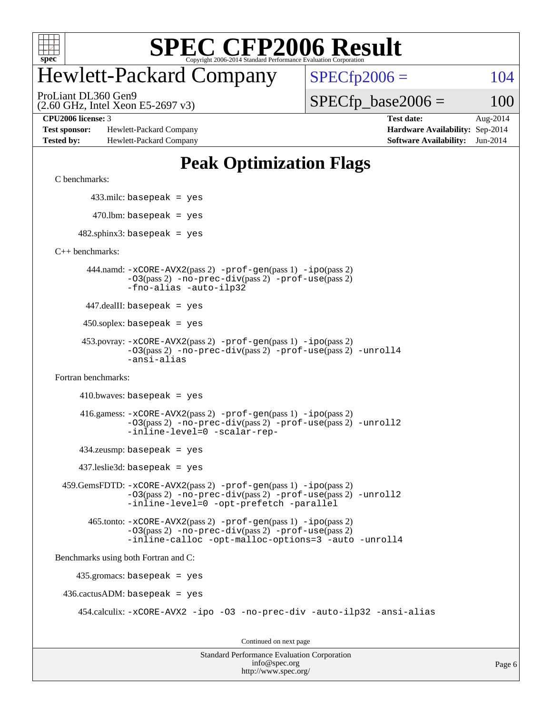

# Hewlett-Packard Company

 $SPECfp2006 = 104$  $SPECfp2006 = 104$ 

(2.60 GHz, Intel Xeon E5-2697 v3) ProLiant DL360 Gen9

 $SPECfp\_base2006 = 100$ 

**[Test sponsor:](http://www.spec.org/auto/cpu2006/Docs/result-fields.html#Testsponsor)** Hewlett-Packard Company **[Hardware Availability:](http://www.spec.org/auto/cpu2006/Docs/result-fields.html#HardwareAvailability)** Sep-2014 **[Tested by:](http://www.spec.org/auto/cpu2006/Docs/result-fields.html#Testedby)** Hewlett-Packard Company **[Software Availability:](http://www.spec.org/auto/cpu2006/Docs/result-fields.html#SoftwareAvailability)** Jun-2014

**[CPU2006 license:](http://www.spec.org/auto/cpu2006/Docs/result-fields.html#CPU2006license)** 3 **[Test date:](http://www.spec.org/auto/cpu2006/Docs/result-fields.html#Testdate)** Aug-2014

### **[Peak Optimization Flags](http://www.spec.org/auto/cpu2006/Docs/result-fields.html#PeakOptimizationFlags)**

[C benchmarks](http://www.spec.org/auto/cpu2006/Docs/result-fields.html#Cbenchmarks):

433.milc: basepeak = yes

 $470.$ lbm: basepeak = yes

 $482$ .sphinx3: basepeak = yes

[C++ benchmarks:](http://www.spec.org/auto/cpu2006/Docs/result-fields.html#CXXbenchmarks)

 444.namd: [-xCORE-AVX2](http://www.spec.org/cpu2006/results/res2014q3/cpu2006-20140908-31263.flags.html#user_peakPASS2_CXXFLAGSPASS2_LDFLAGS444_namd_f-xAVX2_5f5fc0cbe2c9f62c816d3e45806c70d7)(pass 2) [-prof-gen](http://www.spec.org/cpu2006/results/res2014q3/cpu2006-20140908-31263.flags.html#user_peakPASS1_CXXFLAGSPASS1_LDFLAGS444_namd_prof_gen_e43856698f6ca7b7e442dfd80e94a8fc)(pass 1) [-ipo](http://www.spec.org/cpu2006/results/res2014q3/cpu2006-20140908-31263.flags.html#user_peakPASS2_CXXFLAGSPASS2_LDFLAGS444_namd_f-ipo)(pass 2) [-O3](http://www.spec.org/cpu2006/results/res2014q3/cpu2006-20140908-31263.flags.html#user_peakPASS2_CXXFLAGSPASS2_LDFLAGS444_namd_f-O3)(pass 2) [-no-prec-div](http://www.spec.org/cpu2006/results/res2014q3/cpu2006-20140908-31263.flags.html#user_peakPASS2_CXXFLAGSPASS2_LDFLAGS444_namd_f-no-prec-div)(pass 2) [-prof-use](http://www.spec.org/cpu2006/results/res2014q3/cpu2006-20140908-31263.flags.html#user_peakPASS2_CXXFLAGSPASS2_LDFLAGS444_namd_prof_use_bccf7792157ff70d64e32fe3e1250b55)(pass 2) [-fno-alias](http://www.spec.org/cpu2006/results/res2014q3/cpu2006-20140908-31263.flags.html#user_peakCXXOPTIMIZEOPTIMIZE444_namd_f-no-alias_694e77f6c5a51e658e82ccff53a9e63a) [-auto-ilp32](http://www.spec.org/cpu2006/results/res2014q3/cpu2006-20140908-31263.flags.html#user_peakCXXOPTIMIZE444_namd_f-auto-ilp32)

447.dealII: basepeak = yes

 $450$ .soplex: basepeak = yes

```
 453.povray: -xCORE-AVX2(pass 2) -prof-gen(pass 1) -ipo(pass 2)
          -O3(pass 2) -no-prec-div(pass 2) -prof-use(pass 2) -unroll4
          -ansi-alias
```
[Fortran benchmarks](http://www.spec.org/auto/cpu2006/Docs/result-fields.html#Fortranbenchmarks):

```
410.bwaves: basepeak = yes 416.gamess: -xCORE-AVX2(pass 2) -prof-gen(pass 1) -ipo(pass 2)
              -O3(pass 2) -no-prec-div(pass 2) -prof-use(pass 2) -unroll2
              -inline-level=0 -scalar-rep-
    434.zeusmp: basepeak = yes
    437.leslie3d: basepeak = yes
 459.GemsFDTD: -xCORE-AVX2(pass 2) -prof-gen(pass 1) -ipo(pass 2)
              -O3(pass 2) -no-prec-div(pass 2) -prof-use(pass 2) -unroll2
             -inline-level=0 -opt-prefetch -parallel
      465.tonto: -xCORE-AVX2(pass 2) -prof-gen(pass 1) -ipo(pass 2)
              -03(pass 2) -no-prec-div(pass 2) -prof-use(pass 2)
             -inline-calloc -opt-malloc-options=3 -auto -unroll4
```
[Benchmarks using both Fortran and C](http://www.spec.org/auto/cpu2006/Docs/result-fields.html#BenchmarksusingbothFortranandC):

 435.gromacs: basepeak = yes 436.cactusADM: basepeak = yes 454.calculix: [-xCORE-AVX2](http://www.spec.org/cpu2006/results/res2014q3/cpu2006-20140908-31263.flags.html#user_peakOPTIMIZE454_calculix_f-xAVX2_5f5fc0cbe2c9f62c816d3e45806c70d7) [-ipo](http://www.spec.org/cpu2006/results/res2014q3/cpu2006-20140908-31263.flags.html#user_peakOPTIMIZE454_calculix_f-ipo) [-O3](http://www.spec.org/cpu2006/results/res2014q3/cpu2006-20140908-31263.flags.html#user_peakOPTIMIZE454_calculix_f-O3) [-no-prec-div](http://www.spec.org/cpu2006/results/res2014q3/cpu2006-20140908-31263.flags.html#user_peakOPTIMIZE454_calculix_f-no-prec-div) [-auto-ilp32](http://www.spec.org/cpu2006/results/res2014q3/cpu2006-20140908-31263.flags.html#user_peakCOPTIMIZE454_calculix_f-auto-ilp32) [-ansi-alias](http://www.spec.org/cpu2006/results/res2014q3/cpu2006-20140908-31263.flags.html#user_peakCOPTIMIZE454_calculix_f-ansi-alias)

Continued on next page